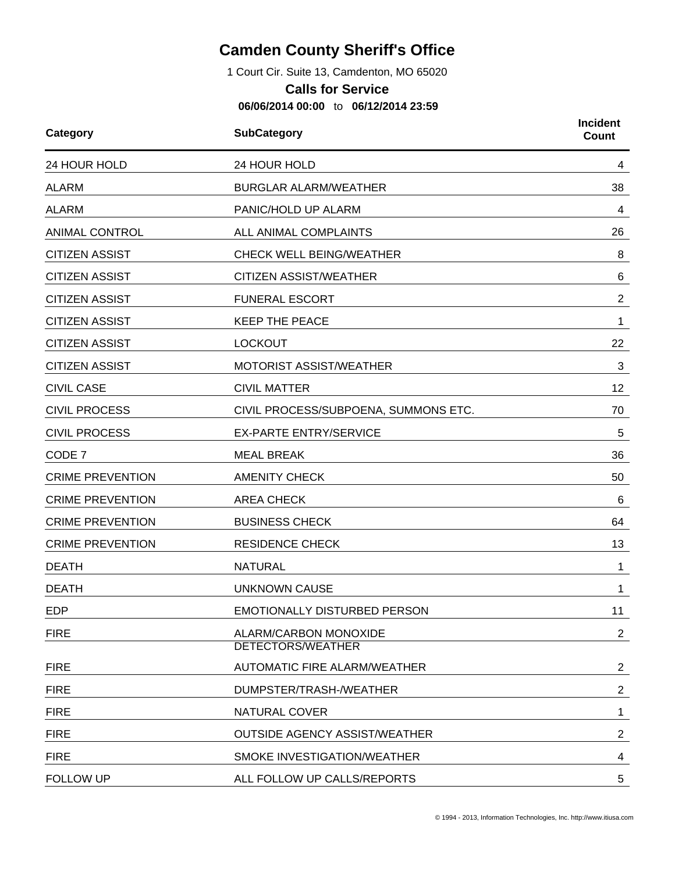## **Camden County Sheriff's Office**

1 Court Cir. Suite 13, Camdenton, MO 65020

## **Calls for Service**

**06/06/2014 00:00** to **06/12/2014 23:59**

| Category                | <b>SubCategory</b>                                | <b>Incident</b><br><b>Count</b> |  |
|-------------------------|---------------------------------------------------|---------------------------------|--|
| 24 HOUR HOLD            | 24 HOUR HOLD                                      | 4                               |  |
| <b>ALARM</b>            | <b>BURGLAR ALARM/WEATHER</b>                      | 38                              |  |
| <b>ALARM</b>            | PANIC/HOLD UP ALARM                               | 4                               |  |
| <b>ANIMAL CONTROL</b>   | ALL ANIMAL COMPLAINTS                             | 26                              |  |
| <b>CITIZEN ASSIST</b>   | <b>CHECK WELL BEING/WEATHER</b>                   | 8                               |  |
| <b>CITIZEN ASSIST</b>   | <b>CITIZEN ASSIST/WEATHER</b>                     | 6                               |  |
| <b>CITIZEN ASSIST</b>   | <b>FUNERAL ESCORT</b>                             | $\overline{2}$                  |  |
| <b>CITIZEN ASSIST</b>   | <b>KEEP THE PEACE</b>                             | 1                               |  |
| <b>CITIZEN ASSIST</b>   | <b>LOCKOUT</b>                                    | 22                              |  |
| <b>CITIZEN ASSIST</b>   | MOTORIST ASSIST/WEATHER                           | 3                               |  |
| <b>CIVIL CASE</b>       | <b>CIVIL MATTER</b>                               | 12                              |  |
| <b>CIVIL PROCESS</b>    | CIVIL PROCESS/SUBPOENA, SUMMONS ETC.              | 70                              |  |
| <b>CIVIL PROCESS</b>    | <b>EX-PARTE ENTRY/SERVICE</b>                     | 5                               |  |
| CODE 7                  | <b>MEAL BREAK</b>                                 | 36                              |  |
| <b>CRIME PREVENTION</b> | <b>AMENITY CHECK</b>                              | 50                              |  |
| <b>CRIME PREVENTION</b> | <b>AREA CHECK</b>                                 | 6                               |  |
| <b>CRIME PREVENTION</b> | <b>BUSINESS CHECK</b>                             | 64                              |  |
| <b>CRIME PREVENTION</b> | <b>RESIDENCE CHECK</b>                            | 13                              |  |
| <b>DEATH</b>            | <b>NATURAL</b>                                    | 1                               |  |
| <b>DEATH</b>            | <b>UNKNOWN CAUSE</b>                              | 1                               |  |
| <b>EDP</b>              | EMOTIONALLY DISTURBED PERSON                      | 11                              |  |
| <b>FIRE</b>             | ALARM/CARBON MONOXIDE<br><b>DETECTORS/WEATHER</b> | $\overline{2}$                  |  |
| <b>FIRE</b>             | AUTOMATIC FIRE ALARM/WEATHER                      | $\overline{2}$                  |  |
| <b>FIRE</b>             | DUMPSTER/TRASH-/WEATHER                           | $\overline{2}$                  |  |
| <b>FIRE</b>             | <b>NATURAL COVER</b>                              | 1                               |  |
| <b>FIRE</b>             | <b>OUTSIDE AGENCY ASSIST/WEATHER</b>              | $\overline{2}$                  |  |
| <b>FIRE</b>             | SMOKE INVESTIGATION/WEATHER                       | 4                               |  |
| <b>FOLLOW UP</b>        | ALL FOLLOW UP CALLS/REPORTS                       | 5                               |  |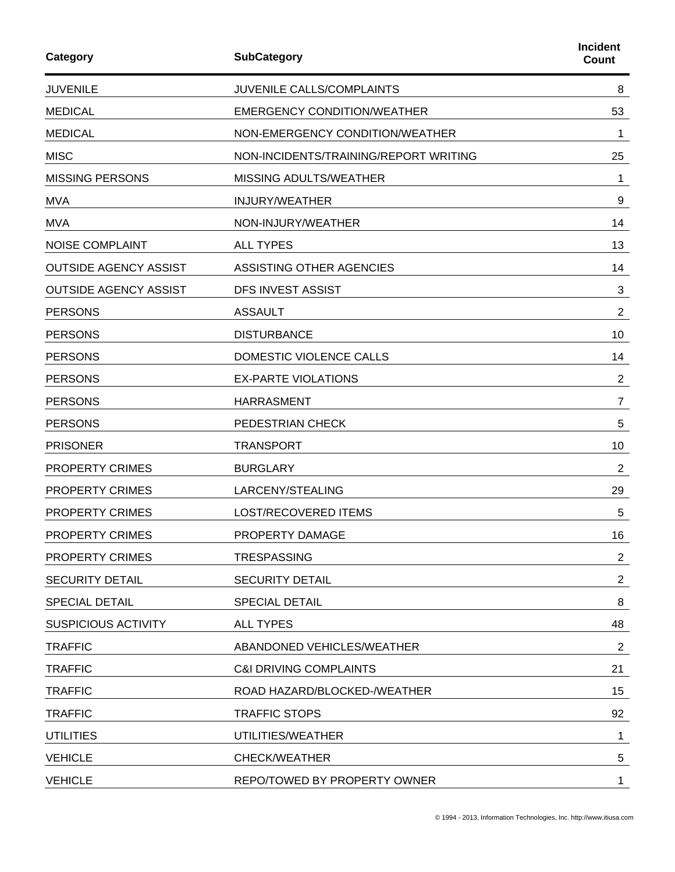| Category                     | <b>SubCategory</b>                    | <b>Incident</b><br><b>Count</b> |
|------------------------------|---------------------------------------|---------------------------------|
| <b>JUVENILE</b>              | JUVENILE CALLS/COMPLAINTS             | 8                               |
| <b>MEDICAL</b>               | <b>EMERGENCY CONDITION/WEATHER</b>    | 53                              |
| <b>MEDICAL</b>               | NON-EMERGENCY CONDITION/WEATHER       | 1                               |
| <b>MISC</b>                  | NON-INCIDENTS/TRAINING/REPORT WRITING | 25                              |
| <b>MISSING PERSONS</b>       | MISSING ADULTS/WEATHER                | 1                               |
| <b>MVA</b>                   | <b>INJURY/WEATHER</b>                 | 9                               |
| <b>MVA</b>                   | NON-INJURY/WEATHER                    | 14                              |
| <b>NOISE COMPLAINT</b>       | <b>ALL TYPES</b>                      | 13                              |
| <b>OUTSIDE AGENCY ASSIST</b> | ASSISTING OTHER AGENCIES              | 14                              |
| <b>OUTSIDE AGENCY ASSIST</b> | <b>DFS INVEST ASSIST</b>              | 3                               |
| <b>PERSONS</b>               | <b>ASSAULT</b>                        | $\overline{2}$                  |
| <b>PERSONS</b>               | <b>DISTURBANCE</b>                    | 10                              |
| <b>PERSONS</b>               | DOMESTIC VIOLENCE CALLS               | 14                              |
| <b>PERSONS</b>               | <b>EX-PARTE VIOLATIONS</b>            | $\overline{2}$                  |
| <b>PERSONS</b>               | <b>HARRASMENT</b>                     | $\overline{7}$                  |
| <b>PERSONS</b>               | PEDESTRIAN CHECK                      | 5                               |
| <b>PRISONER</b>              | <b>TRANSPORT</b>                      | 10                              |
| PROPERTY CRIMES              | <b>BURGLARY</b>                       | $\overline{c}$                  |
| PROPERTY CRIMES              | LARCENY/STEALING                      | 29                              |
| <b>PROPERTY CRIMES</b>       | <b>LOST/RECOVERED ITEMS</b>           | 5                               |
| PROPERTY CRIMES              | PROPERTY DAMAGE                       | 16                              |
| PROPERTY CRIMES              | <b>TRESPASSING</b>                    | $\overline{2}$                  |
| <b>SECURITY DETAIL</b>       | <b>SECURITY DETAIL</b>                | 2                               |
| <b>SPECIAL DETAIL</b>        | <b>SPECIAL DETAIL</b>                 | 8                               |
| <b>SUSPICIOUS ACTIVITY</b>   | <b>ALL TYPES</b>                      | 48                              |
| <b>TRAFFIC</b>               | ABANDONED VEHICLES/WEATHER            | 2                               |
| <b>TRAFFIC</b>               | <b>C&amp;I DRIVING COMPLAINTS</b>     | 21                              |
| <b>TRAFFIC</b>               | ROAD HAZARD/BLOCKED-/WEATHER          | 15                              |
| <b>TRAFFIC</b>               | <b>TRAFFIC STOPS</b>                  | 92                              |
| <b>UTILITIES</b>             | UTILITIES/WEATHER                     | 1                               |
| <b>VEHICLE</b>               | <b>CHECK/WEATHER</b>                  | 5                               |
| <b>VEHICLE</b>               | REPO/TOWED BY PROPERTY OWNER          | 1                               |